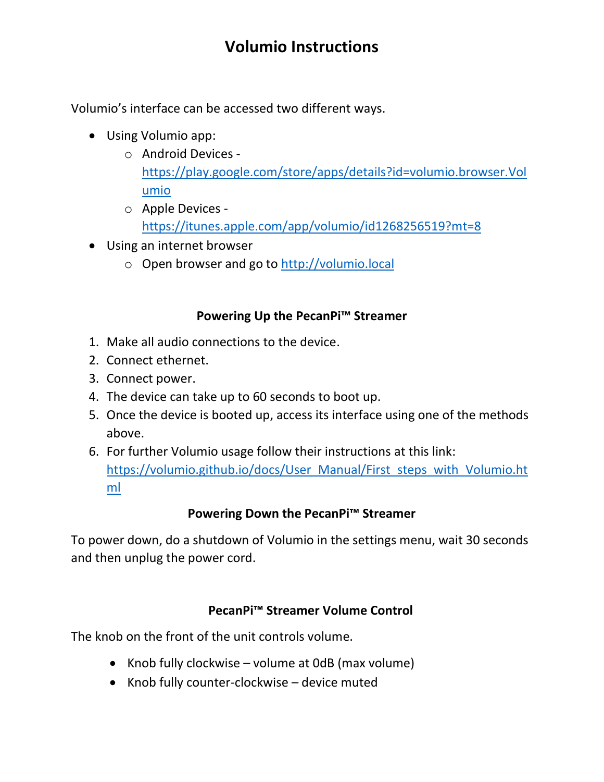# **Volumio Instructions**

Volumio's interface can be accessed two different ways.

- Using Volumio app:
	- o Android Devices [https://play.google.com/store/apps/details?id=volumio.browser.Vol](https://play.google.com/store/apps/details?id=volumio.browser.Volumio) [umio](https://play.google.com/store/apps/details?id=volumio.browser.Volumio)
	- o Apple Devices <https://itunes.apple.com/app/volumio/id1268256519?mt=8>
- Using an internet browser
	- o Open browser and go to [http://volumio.local](http://volumio.local/)

#### **Powering Up the PecanPi™ Streamer**

- 1. Make all audio connections to the device.
- 2. Connect ethernet.
- 3. Connect power.
- 4. The device can take up to 60 seconds to boot up.
- 5. Once the device is booted up, access its interface using one of the methods above.
- 6. For further Volumio usage follow their instructions at this link: [https://volumio.github.io/docs/User\\_Manual/First\\_steps\\_with\\_Volumio.ht](https://volumio.github.io/docs/User_Manual/First_steps_with_Volumio.html) [ml](https://volumio.github.io/docs/User_Manual/First_steps_with_Volumio.html)

### **Powering Down the PecanPi™ Streamer**

To power down, do a shutdown of Volumio in the settings menu, wait 30 seconds and then unplug the power cord.

### **PecanPi™ Streamer Volume Control**

The knob on the front of the unit controls volume.

- Knob fully clockwise volume at 0dB (max volume)
- Knob fully counter-clockwise device muted